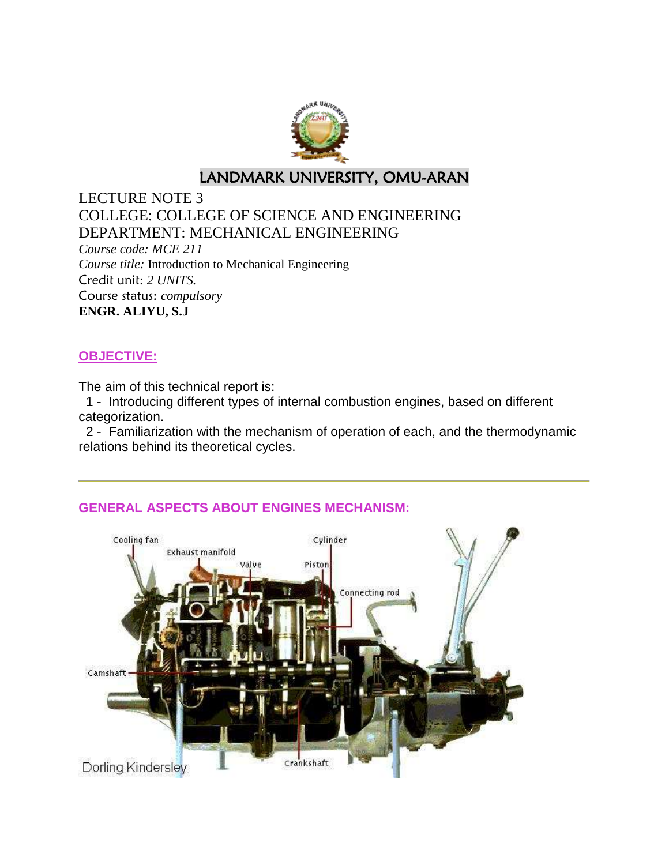

# LANDMARK UNIVERSITY, OMU-ARAN

LECTURE NOTE 3 COLLEGE: COLLEGE OF SCIENCE AND ENGINEERING DEPARTMENT: MECHANICAL ENGINEERING *Course code: MCE 211 Course title:* Introduction to Mechanical Engineering Credit unit: *2 UNITS.* Course status: *compulsory* **ENGR. ALIYU, S.J**

### **OBJECTIVE:**

The aim of this technical report is:

1 - Introducing different types of internal combustion engines, based on different categorization.

2 - Familiarization with the mechanism of operation of each, and the thermodynamic relations behind its theoretical cycles.

### **GENERAL ASPECTS ABOUT ENGINES MECHANISM:**

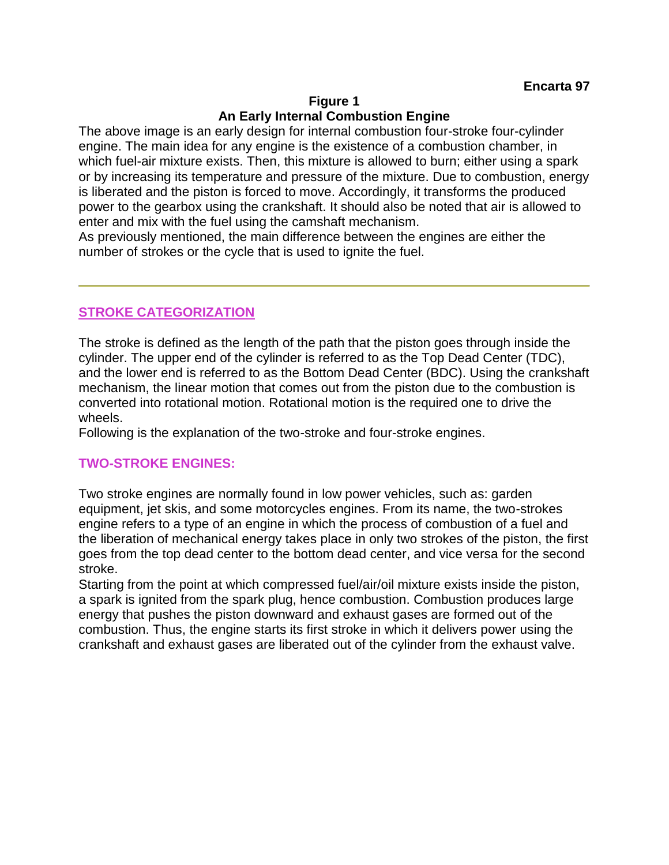#### **Figure 1 An Early Internal Combustion Engine**

The above image is an early design for internal combustion four-stroke four-cylinder engine. The main idea for any engine is the existence of a combustion chamber, in which fuel-air mixture exists. Then, this mixture is allowed to burn; either using a spark or by increasing its temperature and pressure of the mixture. Due to combustion, energy is liberated and the piston is forced to move. Accordingly, it transforms the produced power to the gearbox using the crankshaft. It should also be noted that air is allowed to enter and mix with the fuel using the camshaft mechanism.

As previously mentioned, the main difference between the engines are either the number of strokes or the cycle that is used to ignite the fuel.

### **STROKE CATEGORIZATION**

The stroke is defined as the length of the path that the piston goes through inside the cylinder. The upper end of the cylinder is referred to as the Top Dead Center (TDC), and the lower end is referred to as the Bottom Dead Center (BDC). Using the crankshaft mechanism, the linear motion that comes out from the piston due to the combustion is converted into rotational motion. Rotational motion is the required one to drive the wheels.

Following is the explanation of the two-stroke and four-stroke engines.

### **TWO-STROKE ENGINES:**

Two stroke engines are normally found in low power vehicles, such as: garden equipment, jet skis, and some motorcycles engines. From its name, the two-strokes engine refers to a type of an engine in which the process of combustion of a fuel and the liberation of mechanical energy takes place in only two strokes of the piston, the first goes from the top dead center to the bottom dead center, and vice versa for the second stroke.

Starting from the point at which compressed fuel/air/oil mixture exists inside the piston, a spark is ignited from the spark plug, hence combustion. Combustion produces large energy that pushes the piston downward and exhaust gases are formed out of the combustion. Thus, the engine starts its first stroke in which it delivers power using the crankshaft and exhaust gases are liberated out of the cylinder from the exhaust valve.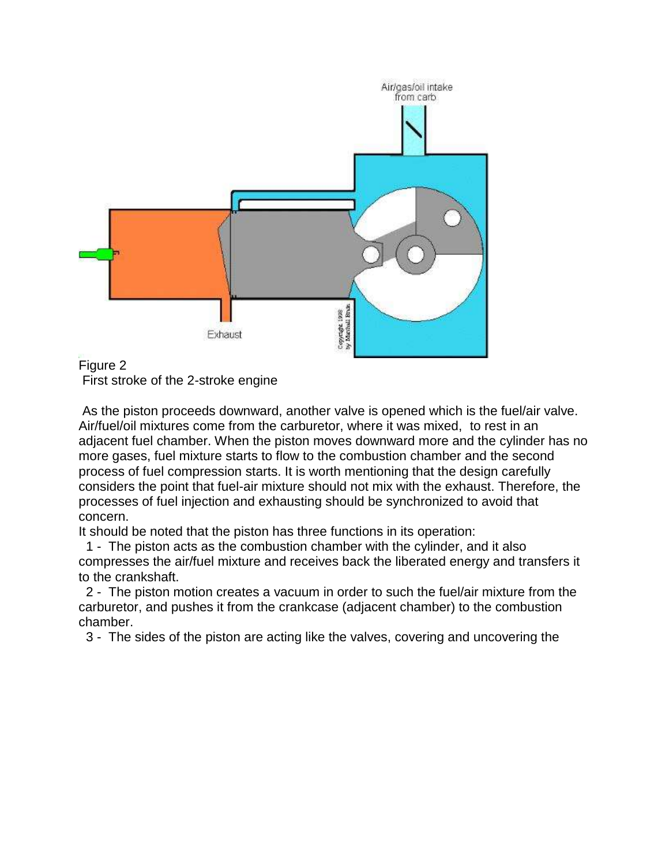

Figure 2 First stroke of the 2-stroke engine

As the piston proceeds downward, another valve is opened which is the fuel/air valve. Air/fuel/oil mixtures come from the carburetor, where it was mixed, to rest in an adjacent fuel chamber. When the piston moves downward more and the cylinder has no more gases, fuel mixture starts to flow to the combustion chamber and the second process of fuel compression starts. It is worth mentioning that the design carefully considers the point that fuel-air mixture should not mix with the exhaust. Therefore, the processes of fuel injection and exhausting should be synchronized to avoid that concern.

It should be noted that the piston has three functions in its operation:

1 - The piston acts as the combustion chamber with the cylinder, and it also compresses the air/fuel mixture and receives back the liberated energy and transfers it to the crankshaft.

2 - The piston motion creates a vacuum in order to such the fuel/air mixture from the carburetor, and pushes it from the crankcase (adjacent chamber) to the combustion chamber.

3 - The sides of the piston are acting like the valves, covering and uncovering the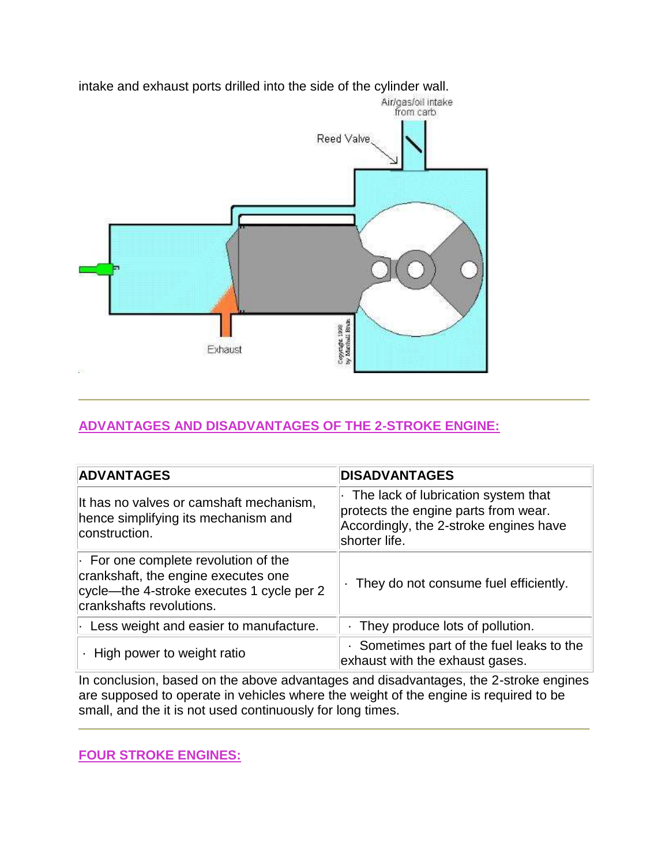

intake and exhaust ports drilled into the side of the cylinder wall.

### **ADVANTAGES AND DISADVANTAGES OF THE 2-STROKE ENGINE:**

| <b>ADVANTAGES</b>                                                                                                                                          | <b>DISADVANTAGES</b>                                                                                                                   |
|------------------------------------------------------------------------------------------------------------------------------------------------------------|----------------------------------------------------------------------------------------------------------------------------------------|
| It has no valves or camshaft mechanism,<br>hence simplifying its mechanism and<br>construction.                                                            | The lack of lubrication system that<br>protects the engine parts from wear.<br>Accordingly, the 2-stroke engines have<br>shorter life. |
| $\cdot$ For one complete revolution of the<br>crankshaft, the engine executes one<br>cycle—the 4-stroke executes 1 cycle per 2<br>crankshafts revolutions. | . They do not consume fuel efficiently.                                                                                                |
| $\cdot$ Less weight and easier to manufacture.                                                                                                             | They produce lots of pollution.                                                                                                        |
| High power to weight ratio                                                                                                                                 | Sometimes part of the fuel leaks to the<br>exhaust with the exhaust gases.                                                             |

In conclusion, based on the above advantages and disadvantages, the 2-stroke engines are supposed to operate in vehicles where the weight of the engine is required to be small, and the it is not used continuously for long times.

**FOUR STROKE ENGINES:**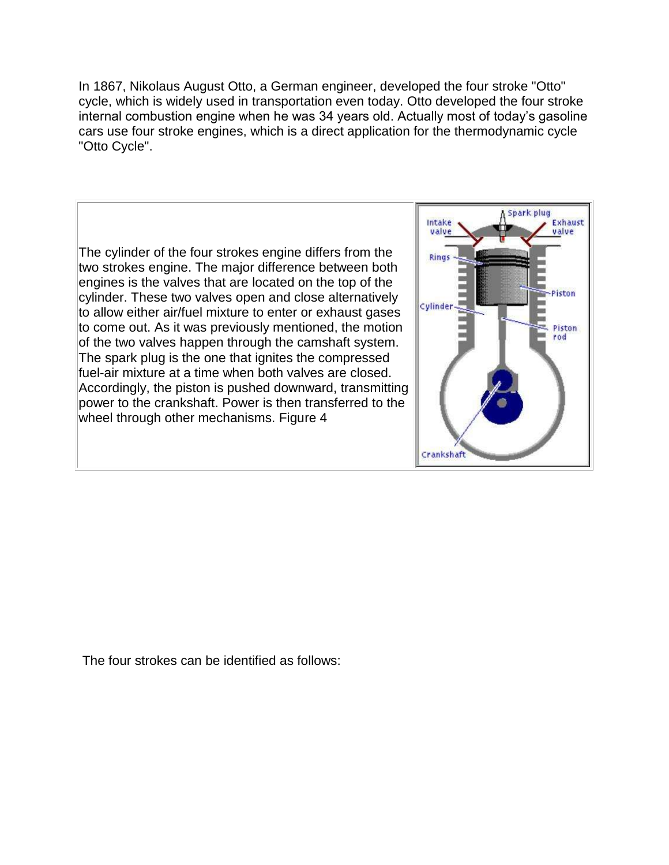In 1867, Nikolaus August Otto, a German engineer, developed the four stroke "Otto" cycle, which is widely used in transportation even today. Otto developed the four stroke internal combustion engine when he was 34 years old. Actually most of today's gasoline cars use four stroke engines, which is a direct application for the thermodynamic cycle "Otto Cycle".

The cylinder of the four strokes engine differs from the two strokes engine. The major difference between both engines is the valves that are located on the top of the cylinder. These two valves open and close alternatively to allow either air/fuel mixture to enter or exhaust gases to come out. As it was previously mentioned, the motion of the two valves happen through the camshaft system. The spark plug is the one that ignites the compressed fuel-air mixture at a time when both valves are closed. Accordingly, the piston is pushed downward, transmitting power to the crankshaft. Power is then transferred to the wheel through other mechanisms. Figure 4



The four strokes can be identified as follows: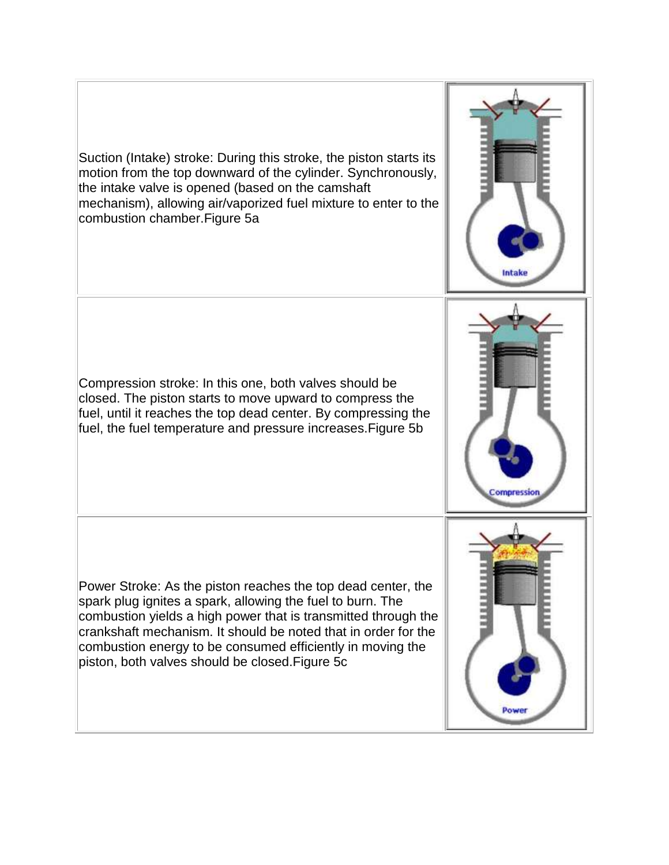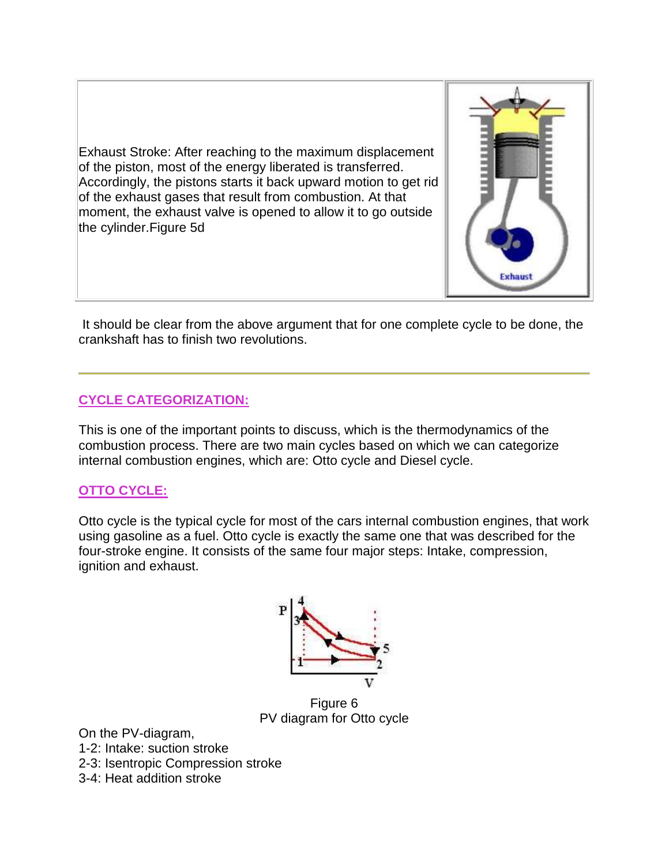Exhaust Stroke: After reaching to the maximum displacement of the piston, most of the energy liberated is transferred. Accordingly, the pistons starts it back upward motion to get rid of the exhaust gases that result from combustion. At that moment, the exhaust valve is opened to allow it to go outside the cylinder.Figure 5d



It should be clear from the above argument that for one complete cycle to be done, the crankshaft has to finish two revolutions.

### **CYCLE CATEGORIZATION:**

This is one of the important points to discuss, which is the thermodynamics of the combustion process. There are two main cycles based on which we can categorize internal combustion engines, which are: Otto cycle and Diesel cycle.

## **OTTO CYCLE:**

Otto cycle is the typical cycle for most of the cars internal combustion engines, that work using gasoline as a fuel. Otto cycle is exactly the same one that was described for the four-stroke engine. It consists of the same four major steps: Intake, compression, ignition and exhaust.



Figure 6 PV diagram for Otto cycle

On the PV-diagram,

1-2: Intake: suction stroke

2-3: Isentropic Compression stroke

3-4: Heat addition stroke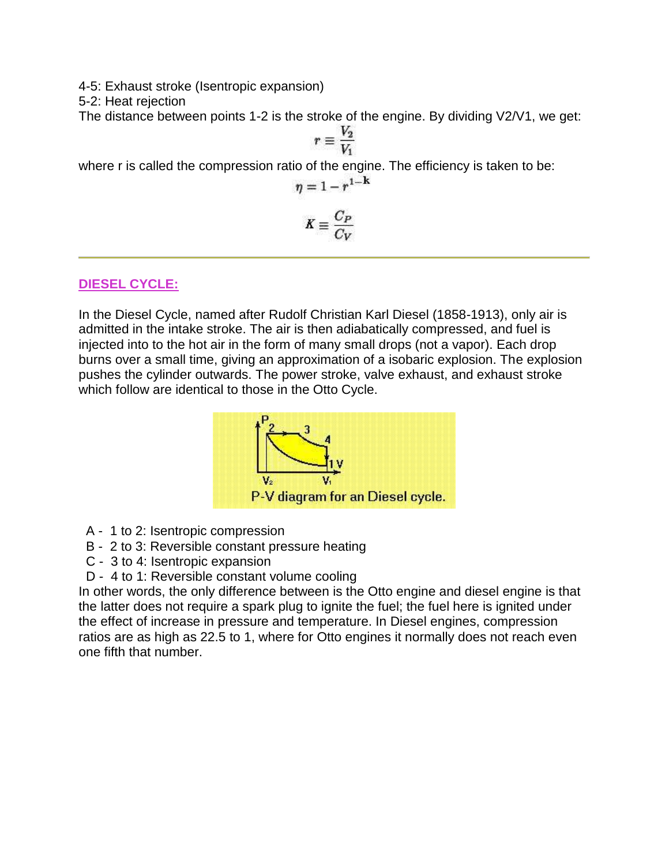4-5: Exhaust stroke (Isentropic expansion)

5-2: Heat rejection

The distance between points 1-2 is the stroke of the engine. By dividing V2/V1, we get:

$$
r\equiv \frac{V_2}{V_1}
$$

where r is called the compression ratio of the engine. The efficiency is taken to be:

$$
\eta=1-r^{1-\mathbf{k}}
$$

$$
K \equiv \frac{C_P}{C_V}
$$

## **DIESEL CYCLE:**

In the Diesel Cycle, named after Rudolf Christian Karl Diesel (1858-1913), only air is admitted in the intake stroke. The air is then adiabatically compressed, and fuel is injected into to the hot air in the form of many small drops (not a vapor). Each drop burns over a small time, giving an approximation of a isobaric explosion. The explosion pushes the cylinder outwards. The power stroke, valve exhaust, and exhaust stroke which follow are identical to those in the Otto Cycle.



- A 1 to 2: Isentropic compression
- B 2 to 3: Reversible constant pressure heating
- C 3 to 4: Isentropic expansion
- D 4 to 1: Reversible constant volume cooling

In other words, the only difference between is the Otto engine and diesel engine is that the latter does not require a spark plug to ignite the fuel; the fuel here is ignited under the effect of increase in pressure and temperature. In Diesel engines, compression ratios are as high as 22.5 to 1, where for Otto engines it normally does not reach even one fifth that number.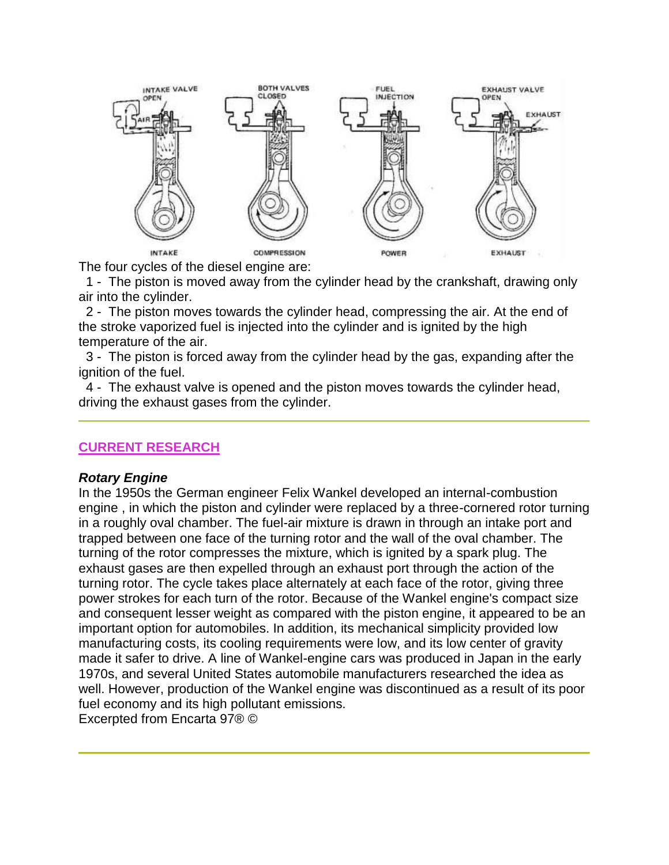

The four cycles of the diesel engine are:

1 - The piston is moved away from the cylinder head by the crankshaft, drawing only air into the cylinder.

2 - The piston moves towards the cylinder head, compressing the air. At the end of the stroke vaporized fuel is injected into the cylinder and is ignited by the high temperature of the air.

3 - The piston is forced away from the cylinder head by the gas, expanding after the ignition of the fuel.

4 - The exhaust valve is opened and the piston moves towards the cylinder head, driving the exhaust gases from the cylinder.

### **CURRENT RESEARCH**

#### *Rotary Engine*

In the 1950s the German engineer Felix Wankel developed an internal-combustion engine , in which the piston and cylinder were replaced by a three-cornered rotor turning in a roughly oval chamber. The fuel-air mixture is drawn in through an intake port and trapped between one face of the turning rotor and the wall of the oval chamber. The turning of the rotor compresses the mixture, which is ignited by a spark plug. The exhaust gases are then expelled through an exhaust port through the action of the turning rotor. The cycle takes place alternately at each face of the rotor, giving three power strokes for each turn of the rotor. Because of the Wankel engine's compact size and consequent lesser weight as compared with the piston engine, it appeared to be an important option for automobiles. In addition, its mechanical simplicity provided low manufacturing costs, its cooling requirements were low, and its low center of gravity made it safer to drive. A line of Wankel-engine cars was produced in Japan in the early 1970s, and several United States automobile manufacturers researched the idea as well. However, production of the Wankel engine was discontinued as a result of its poor fuel economy and its high pollutant emissions. Excerpted from Encarta 97® ©